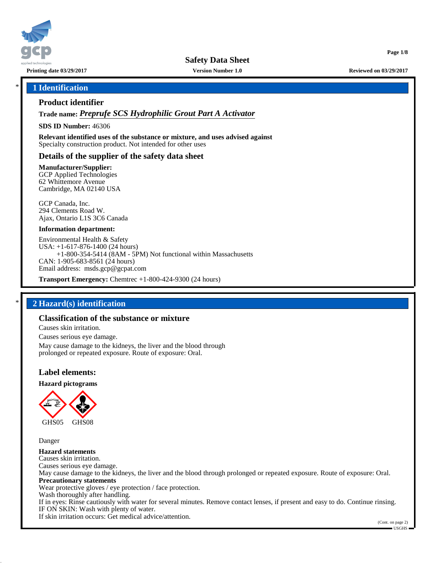

**Safety Data Sheet**

**Printing date 03/29/2017 Version Number 1.0 Reviewed on 03/29/2017**

**Page 1/8**

### \* **1 Identification**

### **Product identifier**

**Trade name:** *Preprufe SCS Hydrophilic Grout Part A Activator*

**SDS ID Number:** 46306

**Relevant identified uses of the substance or mixture, and uses advised against** Specialty construction product. Not intended for other uses

## **Details of the supplier of the safety data sheet**

**Manufacturer/Supplier:**

GCP Applied Technologies 62 Whittemore Avenue Cambridge, MA 02140 USA

GCP Canada, Inc. 294 Clements Road W. Ajax, Ontario L1S 3C6 Canada

#### **Information department:**

Environmental Health & Safety USA: +1-617-876-1400 (24 hours) +1-800-354-5414 (8AM - 5PM) Not functional within Massachusetts CAN: 1-905-683-8561 (24 hours) Email address: msds.gcp@gcpat.com

**Transport Emergency:** Chemtrec +1-800-424-9300 (24 hours)

## \* **2 Hazard(s) identification**

## **Classification of the substance or mixture**

Causes skin irritation.

Causes serious eye damage. May cause damage to the kidneys, the liver and the blood through prolonged or repeated exposure. Route of exposure: Oral.

### **Label elements:**

**Hazard pictograms**



Danger

**Hazard statements** Causes skin irritation. Causes serious eye damage. May cause damage to the kidneys, the liver and the blood through prolonged or repeated exposure. Route of exposure: Oral. **Precautionary statements** Wear protective gloves / eye protection / face protection. Wash thoroughly after handling. If in eyes: Rinse cautiously with water for several minutes. Remove contact lenses, if present and easy to do. Continue rinsing. IF ON SKIN: Wash with plenty of water. If skin irritation occurs: Get medical advice/attention.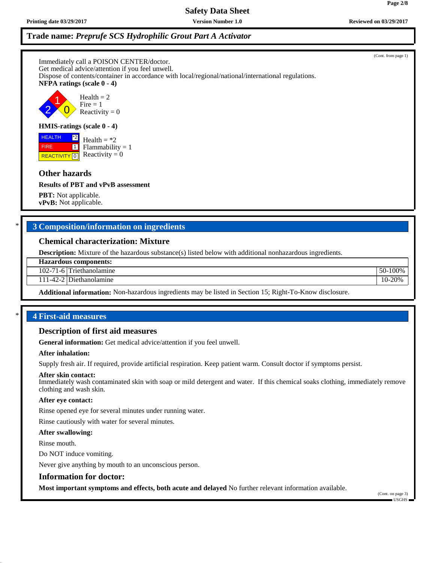**Printing date 03/29/2017 Version Number 1.0 Reviewed on 03/29/2017**

# **Trade name:** *Preprufe SCS Hydrophilic Grout Part A Activator*

Immediately call a POISON CENTER/doctor. Get medical advice/attention if you feel unwell. Dispose of contents/container in accordance with local/regional/national/international regulations. **NFPA ratings (scale 0 - 4)**

2 1  $\overline{\mathbf{0}}$  $Health = 2$  $Fire = 1$ Reactivity  $= 0$ 

## **HMIS-ratings (scale 0 - 4)**

**REACTIVITY** 0 \*2  $\boxed{1}$  $Health = *2$  $Flammability = 1$ Reactivity  $= 0$ 

# **Other hazards**

 HEALTH FIRE

**Results of PBT and vPvB assessment**

**PBT:** Not applicable. **vPvB:** Not applicable.

# \* **3 Composition/information on ingredients**

## **Chemical characterization: Mixture**

**Description:** Mixture of the hazardous substance(s) listed below with additional nonhazardous ingredients.

## **Hazardous components:**

102-71-6 Triethanolamine 50-100%

111-42-2 Diethanolamine 10-20% and 10-20% and 10-20% and 10-20% and 10-20% and 10-20% and 10-20% and 10-20% and 10-20% and 10-20% and 10-20% and 10-20% and 10-20% and 10-20% and 10-20% and 10-20% and 10-20% and 10-20% and

**Additional information:** Non-hazardous ingredients may be listed in Section 15; Right-To-Know disclosure.

# \* **4 First-aid measures**

## **Description of first aid measures**

**General information:** Get medical advice/attention if you feel unwell.

## **After inhalation:**

Supply fresh air. If required, provide artificial respiration. Keep patient warm. Consult doctor if symptoms persist.

## **After skin contact:**

Immediately wash contaminated skin with soap or mild detergent and water. If this chemical soaks clothing, immediately remove clothing and wash skin.

## **After eye contact:**

Rinse opened eye for several minutes under running water.

Rinse cautiously with water for several minutes.

## **After swallowing:**

Rinse mouth.

Do NOT induce vomiting.

Never give anything by mouth to an unconscious person.

## **Information for doctor:**

**Most important symptoms and effects, both acute and delayed** No further relevant information available.

(Cont. on page 3) USGHS

(Cont. from page 1)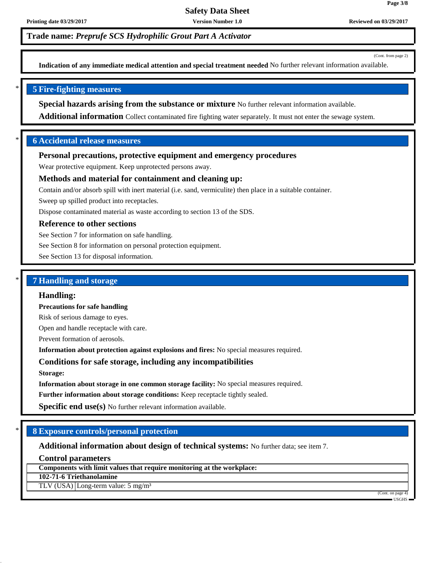**Trade name:** *Preprufe SCS Hydrophilic Grout Part A Activator*

(Cont. from page 2)

**Page 3/8**

**Indication of any immediate medical attention and special treatment needed** No further relevant information available.

## \* **5 Fire-fighting measures**

**Special hazards arising from the substance or mixture** No further relevant information available.

**Additional information** Collect contaminated fire fighting water separately. It must not enter the sewage system.

## \* **6 Accidental release measures**

### **Personal precautions, protective equipment and emergency procedures**

Wear protective equipment. Keep unprotected persons away.

## **Methods and material for containment and cleaning up:**

Contain and/or absorb spill with inert material (i.e. sand, vermiculite) then place in a suitable container.

Sweep up spilled product into receptacles.

Dispose contaminated material as waste according to section 13 of the SDS.

## **Reference to other sections**

See Section 7 for information on safe handling.

See Section 8 for information on personal protection equipment.

See Section 13 for disposal information.

## \* **7 Handling and storage**

#### **Handling:**

**Precautions for safe handling**

Risk of serious damage to eyes.

Open and handle receptacle with care.

Prevent formation of aerosols.

**Information about protection against explosions and fires:** No special measures required.

## **Conditions for safe storage, including any incompatibilities**

**Storage:**

**Information about storage in one common storage facility:** No special measures required.

**Further information about storage conditions:** Keep receptacle tightly sealed.

**Specific end use(s)** No further relevant information available.

## \* **8 Exposure controls/personal protection**

**Additional information about design of technical systems:** No further data; see item 7.

**Control parameters**

**Components with limit values that require monitoring at the workplace:**

**102-71-6 Triethanolamine**

TLV (USA) Long-term value: 5 mg/m³

(Cont. on page 4) USGHS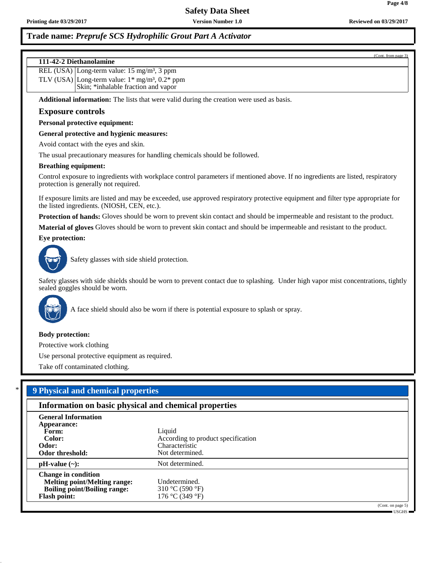## **Trade name:** *Preprufe SCS Hydrophilic Grout Part A Activator*

(Cont. from page 3)

**Page 4/8**

# **111-42-2 Diethanolamine** REL (USA) Long-term value: 15 mg/m<sup>3</sup>, 3 ppm TLV (USA) Long-term value:  $1*$  mg/m<sup>3</sup>,  $0.2*$  ppm Skin; \*inhalable fraction and vapor **Additional information:** The lists that were valid during the creation were used as basis. **Exposure controls Personal protective equipment:**

**General protective and hygienic measures:**

Avoid contact with the eyes and skin.

The usual precautionary measures for handling chemicals should be followed.

#### **Breathing equipment:**

Control exposure to ingredients with workplace control parameters if mentioned above. If no ingredients are listed, respiratory protection is generally not required.

If exposure limits are listed and may be exceeded, use approved respiratory protective equipment and filter type appropriate for the listed ingredients. (NIOSH, CEN, etc.).

**Protection of hands:** Gloves should be worn to prevent skin contact and should be impermeable and resistant to the product.

**Material of gloves** Gloves should be worn to prevent skin contact and should be impermeable and resistant to the product.

**Eye protection:**



Safety glasses with side shield protection.

Safety glasses with side shields should be worn to prevent contact due to splashing. Under high vapor mist concentrations, tightly sealed goggles should be worn.



A face shield should also be worn if there is potential exposure to splash or spray.

#### **Body protection:**

Protective work clothing

Use personal protective equipment as required.

Take off contaminated clothing.

## \* **9 Physical and chemical properties**

|                                     | Information on basic physical and chemical properties |                   |  |
|-------------------------------------|-------------------------------------------------------|-------------------|--|
| <b>General Information</b>          |                                                       |                   |  |
| Appearance:                         |                                                       |                   |  |
| Form:                               | Liquid                                                |                   |  |
| Color:                              | According to product specification                    |                   |  |
| Odor:                               | Characteristic                                        |                   |  |
| Odor threshold:                     | Not determined.                                       |                   |  |
| $pH-value$ (~):                     | Not determined.                                       |                   |  |
| <b>Change in condition</b>          |                                                       |                   |  |
| <b>Melting point/Melting range:</b> | Undetermined.                                         |                   |  |
| <b>Boiling point/Boiling range:</b> | 310 °C (590 °F)                                       |                   |  |
| <b>Flash point:</b>                 | 176 °C (349 °F)                                       |                   |  |
|                                     |                                                       | (Cont. on page 5) |  |

USGHS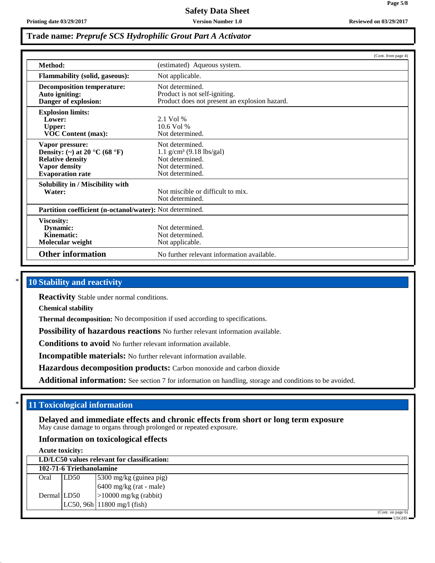**Page 5/8**

## **Trade name:** *Preprufe SCS Hydrophilic Grout Part A Activator*

|                                                                                                                                |                                                                                                                    | (Cont. from page 4) |
|--------------------------------------------------------------------------------------------------------------------------------|--------------------------------------------------------------------------------------------------------------------|---------------------|
| Method:                                                                                                                        | (estimated) Aqueous system.                                                                                        |                     |
| <b>Flammability (solid, gaseous):</b>                                                                                          | Not applicable.                                                                                                    |                     |
| <b>Decomposition temperature:</b><br>Auto igniting:<br>Danger of explosion:                                                    | Not determined.<br>Product is not self-igniting.<br>Product does not present an explosion hazard.                  |                     |
| <b>Explosion limits:</b><br>Lower:<br><b>Upper:</b><br><b>VOC Content (max):</b>                                               | $2.1$ Vol %<br>$10.6$ Vol %<br>Not determined.                                                                     |                     |
| Vapor pressure:<br>Density: (~) at 20 °C (68 °F)<br><b>Relative density</b><br><b>Vapor density</b><br><b>Evaporation rate</b> | Not determined.<br>$1.1$ g/cm <sup>3</sup> (9.18 lbs/gal)<br>Not determined.<br>Not determined.<br>Not determined. |                     |
| Solubility in / Miscibility with<br>Water:                                                                                     | Not miscible or difficult to mix.<br>Not determined.                                                               |                     |
| Partition coefficient (n-octanol/water): Not determined.                                                                       |                                                                                                                    |                     |
| Viscosity:<br>Dynamic:<br>Kinematic:<br>Molecular weight                                                                       | Not determined.<br>Not determined.<br>Not applicable.                                                              |                     |
| <b>Other information</b>                                                                                                       | No further relevant information available.                                                                         |                     |

## **10 Stability and reactivity**

**Reactivity** Stable under normal conditions.

**Chemical stability**

**Thermal decomposition:** No decomposition if used according to specifications.

**Possibility of hazardous reactions** No further relevant information available.

**Conditions to avoid** No further relevant information available.

**Incompatible materials:** No further relevant information available.

**Hazardous decomposition products:** Carbon monoxide and carbon dioxide

**Additional information:** See section 7 for information on handling, storage and conditions to be avoided.

## **11 Toxicological information**

**Delayed and immediate effects and chronic effects from short or long term exposure** May cause damage to organs through prolonged or repeated exposure.

## **Information on toxicological effects**

| <b>Acute toxicity:</b> |                          |                                             |  |
|------------------------|--------------------------|---------------------------------------------|--|
|                        |                          | LD/LC50 values relevant for classification: |  |
|                        | 102-71-6 Triethanolamine |                                             |  |
| Oral                   | LD50                     | 5300 mg/kg (guinea pig)                     |  |
|                        |                          | $6400$ mg/kg (rat - male)                   |  |
| Dermal LD50            |                          | $ >10000$ mg/kg (rabbit)                    |  |
|                        |                          | $LC50, 96h$ 11800 mg/l (fish)               |  |
|                        |                          | $(C_{\alpha n}, \alpha n)$                  |  |

(Cont. on page 6)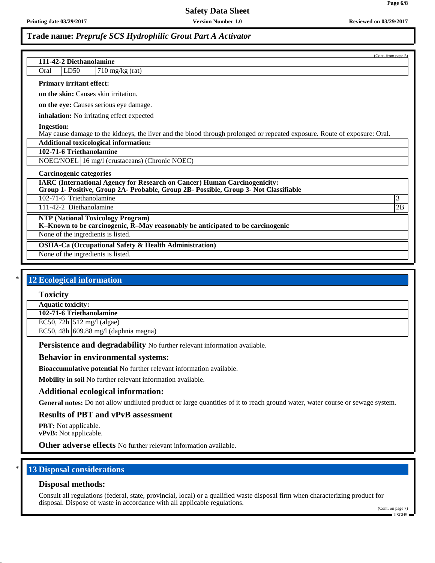**Page 6/8**

## **Trade name:** *Preprufe SCS Hydrophilic Grout Part A Activator*

| (Cont. from page 5)<br>111-42-2 Diethanolamine                                                                                                                           |    |
|--------------------------------------------------------------------------------------------------------------------------------------------------------------------------|----|
|                                                                                                                                                                          |    |
| LD50<br>$710$ mg/kg (rat)<br>Oral                                                                                                                                        |    |
| <b>Primary irritant effect:</b>                                                                                                                                          |    |
| on the skin: Causes skin irritation.                                                                                                                                     |    |
| on the eye: Causes serious eye damage.                                                                                                                                   |    |
| inhalation: No irritating effect expected                                                                                                                                |    |
| <b>Ingestion:</b><br>May cause damage to the kidneys, the liver and the blood through prolonged or repeated exposure. Route of exposure: Oral.                           |    |
| <b>Additional toxicological information:</b>                                                                                                                             |    |
| 102-71-6 Triethanolamine                                                                                                                                                 |    |
| NOEC/NOEL 16 mg/l (crustaceans) (Chronic NOEC)                                                                                                                           |    |
| <b>Carcinogenic categories</b>                                                                                                                                           |    |
| <b>IARC (International Agency for Research on Cancer) Human Carcinogenicity:</b><br>Group 1- Positive, Group 2A- Probable, Group 2B- Possible, Group 3- Not Classifiable |    |
| 102-71-6 Triethanolamine                                                                                                                                                 | 3  |
| 111-42-2 Diethanolamine                                                                                                                                                  | 2B |
| <b>NTP (National Toxicology Program)</b><br>K-Known to be carcinogenic, R-May reasonably be anticipated to be carcinogenic                                               |    |
|                                                                                                                                                                          |    |
| None of the ingredients is listed.                                                                                                                                       |    |
| <b>OSHA-Ca (Occupational Safety &amp; Health Administration)</b>                                                                                                         |    |
| None of the ingredients is listed.                                                                                                                                       |    |

## **12 Ecological information**

#### **Toxicity**

**Aquatic toxicity:**

**102-71-6 Triethanolamine**

EC50, 72h  $512 \text{ mg/l (algae)}$ 

EC50, 48h 609.88 mg/l (daphnia magna)

**Persistence and degradability** No further relevant information available.

### **Behavior in environmental systems:**

**Bioaccumulative potential** No further relevant information available.

**Mobility in soil** No further relevant information available.

### **Additional ecological information:**

General notes: Do not allow undiluted product or large quantities of it to reach ground water, water course or sewage system.

## **Results of PBT and vPvB assessment**

**PBT:** Not applicable.

**vPvB:** Not applicable.

**Other adverse effects** No further relevant information available.

## **13 Disposal considerations**

## **Disposal methods:**

Consult all regulations (federal, state, provincial, local) or a qualified waste disposal firm when characterizing product for disposal. Dispose of waste in accordance with all applicable regulations.

(Cont. on page 7)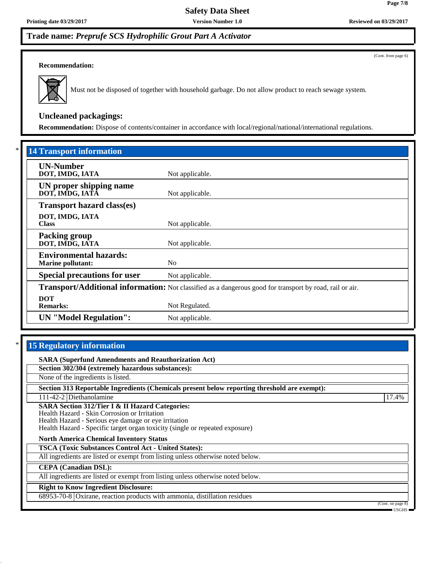## **Trade name:** *Preprufe SCS Hydrophilic Grout Part A Activator*

### **Recommendation:**



Must not be disposed of together with household garbage. Do not allow product to reach sewage system.

## **Uncleaned packagings:**

**Recommendation:** Dispose of contents/container in accordance with local/regional/national/international regulations.

| <b>14 Transport information</b>                                                                                                                                                                                       |                 |                               |                 |
|-----------------------------------------------------------------------------------------------------------------------------------------------------------------------------------------------------------------------|-----------------|-------------------------------|-----------------|
| <b>UN-Number</b><br>DOT, IMDG, IATA                                                                                                                                                                                   | Not applicable. |                               |                 |
| UN proper shipping name<br>DOT, IMDG, IATĀ                                                                                                                                                                            | Not applicable. |                               |                 |
| <b>Transport hazard class(es)</b>                                                                                                                                                                                     |                 |                               |                 |
| DOT, IMDG, IATA<br><b>Class</b>                                                                                                                                                                                       | Not applicable. |                               |                 |
| <b>Packing group</b><br>DOT, IMDG, IATA                                                                                                                                                                               | Not applicable. |                               |                 |
| <b>Environmental hazards:</b><br><b>Marine pollutant:</b>                                                                                                                                                             | No              |                               |                 |
| <b>Special precautions for user</b><br>Not applicable.<br>Transport/Additional information: Not classified as a dangerous good for transport by road, rail or air.<br><b>DOT</b><br><b>Remarks:</b><br>Not Regulated. |                 |                               |                 |
|                                                                                                                                                                                                                       |                 | <b>UN</b> "Model Regulation": | Not applicable. |

## **15 Regulatory information**

**SARA (Superfund Amendments and Reauthorization Act)**

**Section 302/304 (extremely hazardous substances):**

None of the ingredients is listed.

**Section 313 Reportable Ingredients (Chemicals present below reporting threshold are exempt):**

111-42-2 Diethanolamine 17.4%

**SARA Section 312/Tier I & II Hazard Categories:** Health Hazard - Skin Corrosion or Irritation

Health Hazard - Serious eye damage or eye irritation

Health Hazard - Specific target organ toxicity (single or repeated exposure)

**North America Chemical Inventory Status**

**TSCA (Toxic Substances Control Act - United States):**

All ingredients are listed or exempt from listing unless otherwise noted below.

**CEPA (Canadian DSL):**

All ingredients are listed or exempt from listing unless otherwise noted below.

## **Right to Know Ingredient Disclosure:**

68953-70-8 Oxirane, reaction products with ammonia, distillation residues

(Cont. on page 8)

**Page 7/8**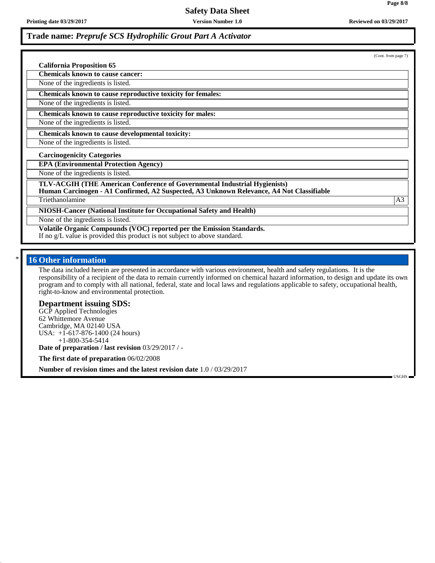**Printing date 03/29/2017 Version Number 1.0 Reviewed on 03/29/2017**

 $(C_{\text{opt}})$ 

USGHS

## **Trade name:** *Preprufe SCS Hydrophilic Grout Part A Activator*

|                                                                                                                                                                       | $\sigma$ (Com. nom page $\eta$ ) |
|-----------------------------------------------------------------------------------------------------------------------------------------------------------------------|----------------------------------|
| <b>California Proposition 65</b>                                                                                                                                      |                                  |
| <b>Chemicals known to cause cancer:</b>                                                                                                                               |                                  |
| None of the ingredients is listed.                                                                                                                                    |                                  |
| Chemicals known to cause reproductive toxicity for females:                                                                                                           |                                  |
| None of the ingredients is listed.                                                                                                                                    |                                  |
| Chemicals known to cause reproductive toxicity for males:                                                                                                             |                                  |
| None of the ingredients is listed.                                                                                                                                    |                                  |
| Chemicals known to cause developmental toxicity:                                                                                                                      |                                  |
| None of the ingredients is listed.                                                                                                                                    |                                  |
| <b>Carcinogenicity Categories</b>                                                                                                                                     |                                  |
| <b>EPA (Environmental Protection Agency)</b>                                                                                                                          |                                  |
| None of the ingredients is listed.                                                                                                                                    |                                  |
| TLV-ACGIH (THE American Conference of Governmental Industrial Hygienists)<br>Human Carcinogen - A1 Confirmed, A2 Suspected, A3 Unknown Relevance, A4 Not Classifiable |                                  |
| Triethanolamine                                                                                                                                                       | A <sub>3</sub>                   |
| NIOSH-Cancer (National Institute for Occupational Safety and Health)                                                                                                  |                                  |
| None of the ingredients is listed.                                                                                                                                    |                                  |
| Volatile Organic Compounds (VOC) reported per the Emission Standards.<br>If no g/L value is provided this product is not subject to above standard.                   |                                  |
|                                                                                                                                                                       |                                  |

## **16 Other information**

The data included herein are presented in accordance with various environment, health and safety regulations. It is the responsibility of a recipient of the data to remain currently informed on chemical hazard information, to design and update its own program and to comply with all national, federal, state and local laws and regulations applicable to safety, occupational health, right-to-know and environmental protection.

### **Department issuing SDS:**

GCP Applied Technologies 62 Whittemore Avenue Cambridge, MA 02140 USA USA: +1-617-876-1400 (24 hours) +1-800-354-5414

**Date of preparation / last revision** 03/29/2017 / -

**The first date of preparation** 06/02/2008

**Number of revision times and the latest revision date** 1.0 / 03/29/2017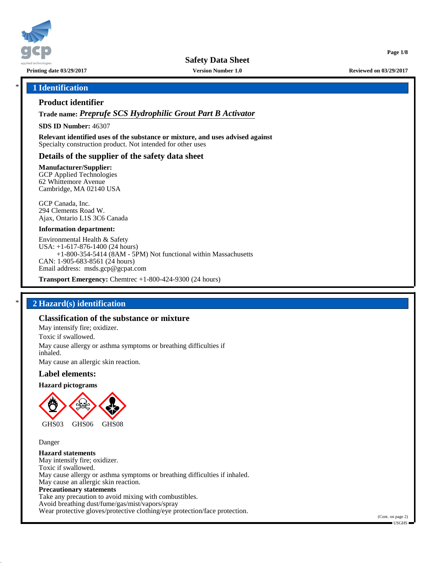

**Safety Data Sheet**

**Printing date 03/29/2017 Version Number 1.0 Reviewed on 03/29/2017**

**Page 1/8**

### \* **1 Identification**

### **Product identifier**

**Trade name:** *Preprufe SCS Hydrophilic Grout Part B Activator*

**SDS ID Number:** 46307

**Relevant identified uses of the substance or mixture, and uses advised against** Specialty construction product. Not intended for other uses

### **Details of the supplier of the safety data sheet**

**Manufacturer/Supplier:**

GCP Applied Technologies 62 Whittemore Avenue Cambridge, MA 02140 USA

GCP Canada, Inc. 294 Clements Road W. Ajax, Ontario L1S 3C6 Canada

#### **Information department:**

Environmental Health & Safety USA: +1-617-876-1400 (24 hours) +1-800-354-5414 (8AM - 5PM) Not functional within Massachusetts CAN: 1-905-683-8561 (24 hours) Email address: msds.gcp@gcpat.com

**Transport Emergency:** Chemtrec +1-800-424-9300 (24 hours)

## \* **2 Hazard(s) identification**

## **Classification of the substance or mixture**

May intensify fire; oxidizer. Toxic if swallowed. May cause allergy or asthma symptoms or breathing difficulties if inhaled. May cause an allergic skin reaction.

#### **Label elements:**

#### **Hazard pictograms**



Danger

#### **Hazard statements**

May intensify fire; oxidizer. Toxic if swallowed. May cause allergy or asthma symptoms or breathing difficulties if inhaled. May cause an allergic skin reaction. **Precautionary statements** Take any precaution to avoid mixing with combustibles. Avoid breathing dust/fume/gas/mist/vapors/spray Wear protective gloves/protective clothing/eye protection/face protection.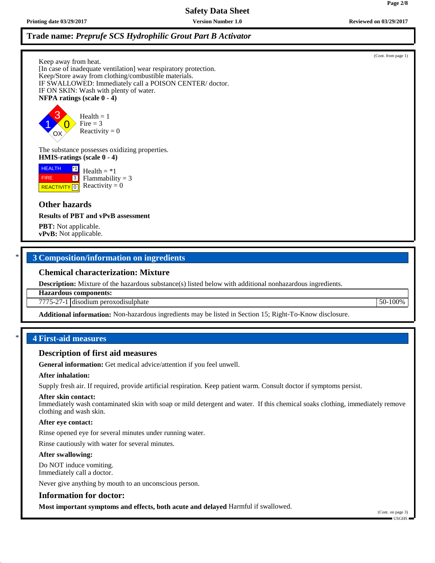## **Trade name:** *Preprufe SCS Hydrophilic Grout Part B Activator*

Keep away from heat.

[In case of inadequate ventilation] wear respiratory protection. Keep/Store away from clothing/combustible materials. IF SWALLOWED: Immediately call a POISON CENTER/ doctor. IF ON SKIN: Wash with plenty of water. **NFPA ratings (scale 0 - 4)**

1 3  $\overline{\mathbf{0}}$ OX  $Health = 1$ Fire  $= 3$ Reactivity  $= 0$ 

The substance possesses oxidizing properties. **HMIS-ratings (scale 0 - 4)**

**HEALTH**  FIRE \*1 3 Health  $= *1$  $Flammability = 3$ Reactivity  $= 0$ 

## **Other hazards**

<mark>| REACTIVITY</mark> | 0

**Results of PBT and vPvB assessment**

**PBT:** Not applicable. **vPvB:** Not applicable.

## \* **3 Composition/information on ingredients**

### **Chemical characterization: Mixture**

**Description:** Mixture of the hazardous substance(s) listed below with additional nonhazardous ingredients.

**Hazardous components:**

7775-27-1 disodium peroxodisulphate 50-100%

**Additional information:** Non-hazardous ingredients may be listed in Section 15; Right-To-Know disclosure.

### \* **4 First-aid measures**

#### **Description of first aid measures**

**General information:** Get medical advice/attention if you feel unwell.

#### **After inhalation:**

Supply fresh air. If required, provide artificial respiration. Keep patient warm. Consult doctor if symptoms persist.

#### **After skin contact:**

Immediately wash contaminated skin with soap or mild detergent and water. If this chemical soaks clothing, immediately remove clothing and wash skin.

## **After eye contact:**

Rinse opened eye for several minutes under running water.

Rinse cautiously with water for several minutes.

## **After swallowing:**

Do NOT induce vomiting. Immediately call a doctor.

Never give anything by mouth to an unconscious person.

## **Information for doctor:**

**Most important symptoms and effects, both acute and delayed** Harmful if swallowed.

**Page 2/8**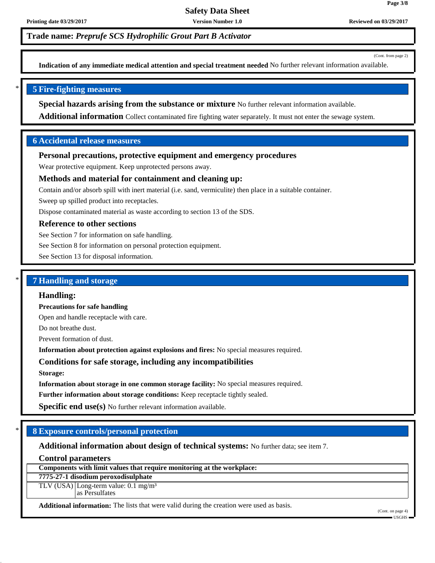**Trade name:** *Preprufe SCS Hydrophilic Grout Part B Activator*

(Cont. from page 2)

**Page 3/8**

**Indication of any immediate medical attention and special treatment needed** No further relevant information available.

### \* **5 Fire-fighting measures**

**Special hazards arising from the substance or mixture** No further relevant information available.

**Additional information** Collect contaminated fire fighting water separately. It must not enter the sewage system.

## **6 Accidental release measures**

### **Personal precautions, protective equipment and emergency procedures**

Wear protective equipment. Keep unprotected persons away.

### **Methods and material for containment and cleaning up:**

Contain and/or absorb spill with inert material (i.e. sand, vermiculite) then place in a suitable container.

Sweep up spilled product into receptacles.

Dispose contaminated material as waste according to section 13 of the SDS.

### **Reference to other sections**

See Section 7 for information on safe handling.

See Section 8 for information on personal protection equipment.

See Section 13 for disposal information.

### \* **7 Handling and storage**

#### **Handling:**

**Precautions for safe handling**

Open and handle receptacle with care.

Do not breathe dust.

Prevent formation of dust.

**Information about protection against explosions and fires:** No special measures required.

### **Conditions for safe storage, including any incompatibilities**

**Storage:**

**Information about storage in one common storage facility:** No special measures required.

**Further information about storage conditions:** Keep receptacle tightly sealed.

**Specific end use(s)** No further relevant information available.

## \* **8 Exposure controls/personal protection**

**Additional information about design of technical systems:** No further data; see item 7.

### **Control parameters**

**Components with limit values that require monitoring at the workplace:**

## **7775-27-1 disodium peroxodisulphate**

TLV (USA) Long-term value: 0.1 mg/m<sup>3</sup> as Persulfates

**Additional information:** The lists that were valid during the creation were used as basis.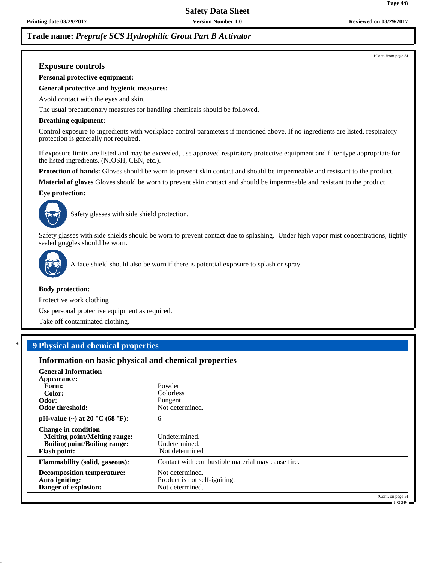**Page 4/8**

## **Trade name:** *Preprufe SCS Hydrophilic Grout Part B Activator*

(Cont. from page 3)

## **Exposure controls**

**Personal protective equipment:**

#### **General protective and hygienic measures:**

Avoid contact with the eyes and skin.

The usual precautionary measures for handling chemicals should be followed.

#### **Breathing equipment:**

Control exposure to ingredients with workplace control parameters if mentioned above. If no ingredients are listed, respiratory protection is generally not required.

If exposure limits are listed and may be exceeded, use approved respiratory protective equipment and filter type appropriate for the listed ingredients. (NIOSH, CEN, etc.).

**Protection of hands:** Gloves should be worn to prevent skin contact and should be impermeable and resistant to the product.

**Material of gloves** Gloves should be worn to prevent skin contact and should be impermeable and resistant to the product.

#### **Eye protection:**



Safety glasses with side shield protection.

Safety glasses with side shields should be worn to prevent contact due to splashing. Under high vapor mist concentrations, tightly sealed goggles should be worn.



A face shield should also be worn if there is potential exposure to splash or spray.

#### **Body protection:**

Protective work clothing

Use personal protective equipment as required.

Take off contaminated clothing.

## \* **9 Physical and chemical properties**

| Information on basic physical and chemical properties                                                                           |                                                                     |                                    |
|---------------------------------------------------------------------------------------------------------------------------------|---------------------------------------------------------------------|------------------------------------|
| <b>General Information</b>                                                                                                      |                                                                     |                                    |
| Appearance:                                                                                                                     |                                                                     |                                    |
| Form:                                                                                                                           | Powder                                                              |                                    |
| Color:                                                                                                                          | <b>Colorless</b>                                                    |                                    |
| Odor:                                                                                                                           | Pungent                                                             |                                    |
| Odor threshold:                                                                                                                 | Not determined.                                                     |                                    |
| pH-value $(\sim)$ at 20 °C (68 °F):                                                                                             | 6                                                                   |                                    |
| <b>Change in condition</b><br><b>Melting point/Melting range:</b><br><b>Boiling point/Boiling range:</b><br><b>Flash point:</b> | Undetermined.<br>Undetermined.<br>Not determined                    |                                    |
| <b>Flammability (solid, gaseous):</b>                                                                                           | Contact with combustible material may cause fire.                   |                                    |
| <b>Decomposition temperature:</b><br>Auto igniting:<br>Danger of explosion:                                                     | Not determined.<br>Product is not self-igniting.<br>Not determined. |                                    |
|                                                                                                                                 |                                                                     | (Cont. on page 5)<br>$-$ USGHS $-$ |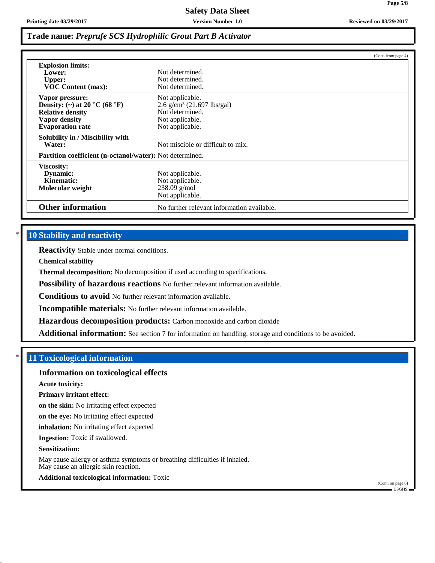**Page 5/8**

## **Trade name:** *Preprufe SCS Hydrophilic Grout Part B Activator*

|                                                                                                                         |                                                                                                                      | (Cont. from page 4) |
|-------------------------------------------------------------------------------------------------------------------------|----------------------------------------------------------------------------------------------------------------------|---------------------|
| <b>Explosion limits:</b><br>Lower:<br><b>Upper:</b><br><b>VOC Content (max):</b>                                        | Not determined.<br>Not determined.<br>Not determined.                                                                |                     |
| Vapor pressure:<br>Density: (~) at 20 °C (68 °F)<br><b>Relative density</b><br>Vapor density<br><b>Evaporation</b> rate | Not applicable.<br>$2.6$ g/cm <sup>3</sup> (21.697 lbs/gal)<br>Not determined.<br>Not applicable.<br>Not applicable. |                     |
| Solubility in / Miscibility with<br>Water:                                                                              | Not miscible or difficult to mix.                                                                                    |                     |
| <b>Partition coefficient (n-octanol/water):</b> Not determined.                                                         |                                                                                                                      |                     |
| <b>Viscosity:</b><br>Dynamic:<br>Kinematic:<br>Molecular weight                                                         | Not applicable.<br>Not applicable.<br>$238.09$ g/mol<br>Not applicable.                                              |                     |
| <b>Other information</b>                                                                                                | No further relevant information available.                                                                           |                     |

## **10 Stability and reactivity**

**Reactivity** Stable under normal conditions.

**Chemical stability**

**Thermal decomposition:** No decomposition if used according to specifications.

**Possibility of hazardous reactions** No further relevant information available.

**Conditions to avoid** No further relevant information available.

**Incompatible materials:** No further relevant information available.

**Hazardous decomposition products:** Carbon monoxide and carbon dioxide

**Additional information:** See section 7 for information on handling, storage and conditions to be avoided.

## \* **11 Toxicological information**

### **Information on toxicological effects**

**Acute toxicity:**

#### **Primary irritant effect:**

**on the skin:** No irritating effect expected

**on the eye:** No irritating effect expected

**inhalation:** No irritating effect expected

**Ingestion:** Toxic if swallowed.

#### **Sensitization:**

May cause allergy or asthma symptoms or breathing difficulties if inhaled. May cause an allergic skin reaction.

## **Additional toxicological information:** Toxic

(Cont. on page 6) USGHS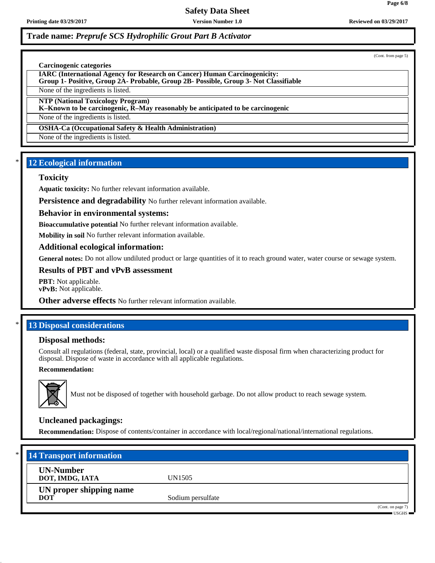**Safety Data Sheet**

## **Trade name:** *Preprufe SCS Hydrophilic Grout Part B Activator*

(Cont. from page 5)

#### **Carcinogenic categories**

**IARC (International Agency for Research on Cancer) Human Carcinogenicity: Group 1- Positive, Group 2A- Probable, Group 2B- Possible, Group 3- Not Classifiable**

None of the ingredients is listed.

**NTP (National Toxicology Program)**

**K–Known to be carcinogenic, R–May reasonably be anticipated to be carcinogenic**

None of the ingredients is listed.

**OSHA-Ca (Occupational Safety & Health Administration)**

None of the ingredients is listed.

## **12 Ecological information**

### **Toxicity**

**Aquatic toxicity:** No further relevant information available.

**Persistence and degradability** No further relevant information available.

### **Behavior in environmental systems:**

**Bioaccumulative potential** No further relevant information available.

**Mobility in soil** No further relevant information available.

### **Additional ecological information:**

General notes: Do not allow undiluted product or large quantities of it to reach ground water, water course or sewage system.

**Results of PBT and vPvB assessment**

**PBT:** Not applicable. **vPvB:** Not applicable.

**Other adverse effects** No further relevant information available.

## **13 Disposal considerations**

### **Disposal methods:**

Consult all regulations (federal, state, provincial, local) or a qualified waste disposal firm when characterizing product for disposal. Dispose of waste in accordance with all applicable regulations.

## **Recommendation:**



Must not be disposed of together with household garbage. Do not allow product to reach sewage system.

## **Uncleaned packagings:**

**Recommendation:** Dispose of contents/container in accordance with local/regional/national/international regulations.

| $\ast$ | <b>14 Transport information</b>       |                   |                                        |
|--------|---------------------------------------|-------------------|----------------------------------------|
|        | <b>UN-Number</b><br>DOT, IMDG, IATA   | UN1505            |                                        |
|        | UN proper shipping name<br><b>DOT</b> | Sodium persulfate |                                        |
|        |                                       |                   | (Cont. on page 7)<br>$\cdot$ usghs $=$ |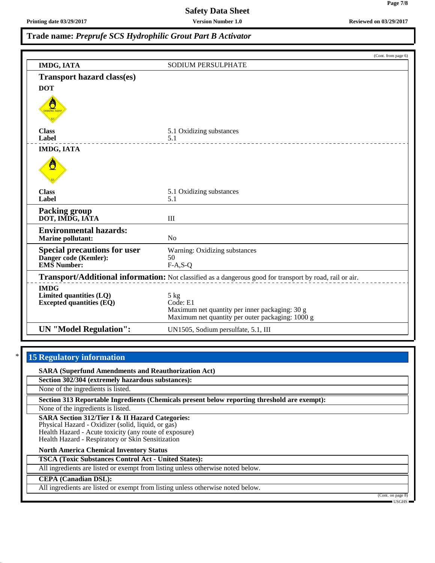**Trade name:** *Preprufe SCS Hydrophilic Grout Part B Activator*

|                                                                                                          | (Cont. from page 6)                                                                                                    |
|----------------------------------------------------------------------------------------------------------|------------------------------------------------------------------------------------------------------------------------|
| <b>IMDG, IATA</b>                                                                                        | <b>SODIUM PERSULPHATE</b>                                                                                              |
| <b>Transport hazard class(es)</b>                                                                        |                                                                                                                        |
| <b>DOT</b>                                                                                               |                                                                                                                        |
|                                                                                                          |                                                                                                                        |
| <b>Class</b><br>Label                                                                                    | 5.1 Oxidizing substances<br>5.1                                                                                        |
| <b>IMDG, IATA</b>                                                                                        |                                                                                                                        |
| Ő                                                                                                        |                                                                                                                        |
| <b>Class</b><br>Label                                                                                    | 5.1 Oxidizing substances<br>5.1                                                                                        |
| <b>Packing group</b><br>DOT, IMDG, IATA                                                                  | III                                                                                                                    |
| <b>Environmental hazards:</b><br><b>Marine pollutant:</b>                                                | N <sub>o</sub>                                                                                                         |
| <b>Special precautions for user</b><br>Danger code (Kemler):<br><b>EMS</b> Number:                       | Warning: Oxidizing substances<br>50<br>$F-A, S-Q$                                                                      |
| Transport/Additional information: Not classified as a dangerous good for transport by road, rail or air. |                                                                                                                        |
| <b>IMDG</b><br>Limited quantities (LQ)<br><b>Excepted quantities (EQ)</b>                                | 5 kg<br>Code: E1<br>Maximum net quantity per inner packaging: 30 g<br>Maximum net quantity per outer packaging: 1000 g |
| <b>UN</b> "Model Regulation":                                                                            | UN1505, Sodium persulfate, 5.1, III                                                                                    |

### **15 Regulatory information**

**SARA (Superfund Amendments and Reauthorization Act)**

**Section 302/304 (extremely hazardous substances):**

None of the ingredients is listed.

**Section 313 Reportable Ingredients (Chemicals present below reporting threshold are exempt):**

None of the ingredients is listed.

**SARA Section 312/Tier I & II Hazard Categories:** Physical Hazard - Oxidizer (solid, liquid, or gas) Health Hazard - Acute toxicity (any route of exposure) Health Hazard - Respiratory or Skin Sensitization

**North America Chemical Inventory Status**

**TSCA (Toxic Substances Control Act - United States):**

All ingredients are listed or exempt from listing unless otherwise noted below.

#### **CEPA (Canadian DSL):**

All ingredients are listed or exempt from listing unless otherwise noted below.

(Cont. on page 8) USGHS